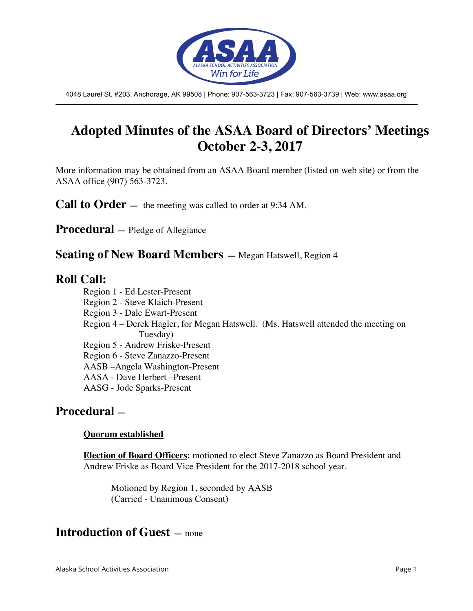

4048 Laurel St. #203, Anchorage, AK 99508 | Phone: 907-563-3723 | Fax: 907-563-3739 | Web: www.asaa.org

# **Adopted Minutes of the ASAA Board of Directors' Meetings October 2-3, 2017**

More information may be obtained from an ASAA Board member (listed on web site) or from the ASAA office (907) 563-3723.

**Call to Order** — the meeting was called to order at 9:34 AM.

**Procedural —** Pledge of Allegiance

**Seating of New Board Members —** Megan Hatswell, Region 4

### **Roll Call:**

Region 1 - Ed Lester-Present

- Region 2 Steve Klaich-Present
- Region 3 Dale Ewart-Present
- Region 4 Derek Hagler, for Megan Hatswell. (Ms. Hatswell attended the meeting on Tuesday)

Region 5 - Andrew Friske-Present

Region 6 - Steve Zanazzo-Present

AASB –Angela Washington-Present

AASA - Dave Herbert –Present

AASG - Jode Sparks-Present

### **Procedural —**

#### **Quorum established**

**Election of Board Officers:** motioned to elect Steve Zanazzo as Board President and Andrew Friske as Board Vice President for the 2017-2018 school year.

Motioned by Region 1, seconded by AASB (Carried - Unanimous Consent)

### **Introduction of Guest —** none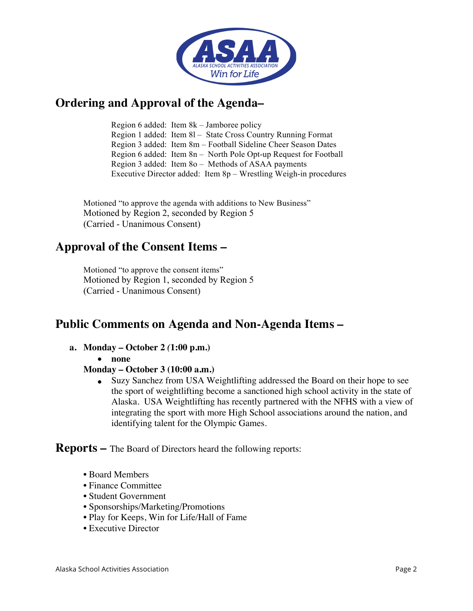

## **Ordering and Approval of the Agenda–**

Region 6 added: Item 8k – Jamboree policy Region 1 added: Item 8l – State Cross Country Running Format Region 3 added: Item 8m – Football Sideline Cheer Season Dates Region 6 added: Item 8n – North Pole Opt-up Request for Football Region 3 added: Item 8o – Methods of ASAA payments Executive Director added: Item 8p – Wrestling Weigh-in procedures

Motioned "to approve the agenda with additions to New Business" Motioned by Region 2, seconded by Region 5 (Carried - Unanimous Consent)

## **Approval of the Consent Items –**

Motioned "to approve the consent items" Motioned by Region 1, seconded by Region 5 (Carried - Unanimous Consent)

# **Public Comments on Agenda and Non-Agenda Items –**

- **a. Monday – October 2** *(***1:00 p.m.)**
	- **none**

#### **Monday – October 3 (10:00 a.m.)**

• Suzy Sanchez from USA Weightlifting addressed the Board on their hope to see the sport of weightlifting become a sanctioned high school activity in the state of Alaska. USA Weightlifting has recently partnered with the NFHS with a view of integrating the sport with more High School associations around the nation, and identifying talent for the Olympic Games.

**Reports –** The Board of Directors heard the following reports:

- Board Members
- Finance Committee
- Student Government
- Sponsorships/Marketing/Promotions
- Play for Keeps, Win for Life/Hall of Fame
- Executive Director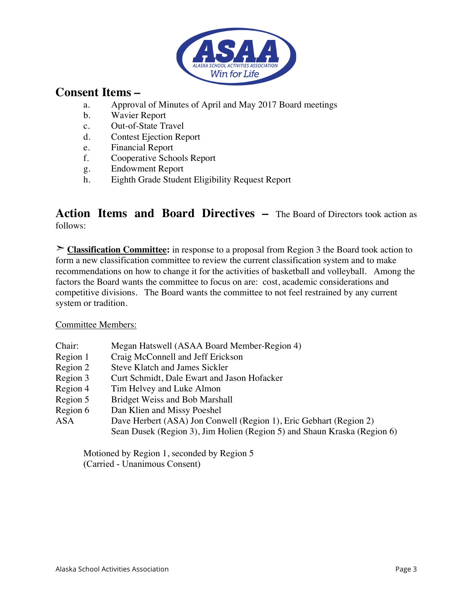

## **Consent Items –**

- a. Approval of Minutes of April and May 2017 Board meetings
- b. Wavier Report
- c. Out-of-State Travel
- d. Contest Ejection Report
- e. Financial Report<br>f. Cooperative Scho
- f. Cooperative Schools Report
- g. Endowment Report
- h. Eighth Grade Student Eligibility Request Report

### **Action Items and Board Directives –** The Board of Directors took action as follows:

➣ **Classification Committee:** in response to a proposal from Region 3 the Board took action to form a new classification committee to review the current classification system and to make recommendations on how to change it for the activities of basketball and volleyball. Among the factors the Board wants the committee to focus on are: cost, academic considerations and competitive divisions. The Board wants the committee to not feel restrained by any current system or tradition.

#### Committee Members:

| Chair:     | Megan Hatswell (ASAA Board Member-Region 4)                              |
|------------|--------------------------------------------------------------------------|
| Region 1   | Craig McConnell and Jeff Erickson                                        |
| Region 2   | <b>Steve Klatch and James Sickler</b>                                    |
| Region 3   | Curt Schmidt, Dale Ewart and Jason Hofacker                              |
| Region 4   | Tim Helvey and Luke Almon                                                |
| Region 5   | <b>Bridget Weiss and Bob Marshall</b>                                    |
| Region 6   | Dan Klien and Missy Poeshel                                              |
| <b>ASA</b> | Dave Herbert (ASA) Jon Conwell (Region 1), Eric Gebhart (Region 2)       |
|            | Sean Dusek (Region 3), Jim Holien (Region 5) and Shaun Kraska (Region 6) |

Motioned by Region 1, seconded by Region 5 (Carried - Unanimous Consent)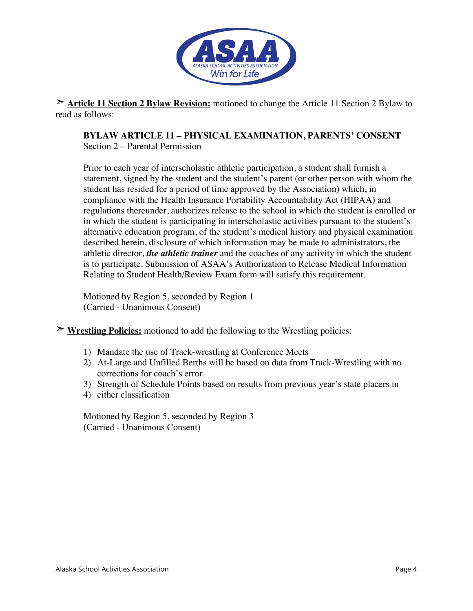

➣ **Article 11 Section 2 Bylaw Revision:** motioned to change the Article 11 Section 2 Bylaw to read as follows:

**BYLAW ARTICLE 11 – PHYSICAL EXAMINATION, PARENTS' CONSENT**

Section 2 – Parental Permission

Prior to each year of interscholastic athletic participation, a student shall furnish a statement, signed by the student and the student's parent (or other person with whom the student has resided for a period of time approved by the Association) which, in compliance with the Health Insurance Portability Accountability Act (HIPAA) and regulations thereunder, authorizes release to the school in which the student is enrolled or in which the student is participating in interscholastic activities pursuant to the student's alternative education program, of the student's medical history and physical examination described herein, disclosure of which information may be made to administrators, the athletic director, *the athletic trainer* and the coaches of any activity in which the student is to participate. Submission of ASAA's Authorization to Release Medical Information Relating to Student Health/Review Exam form will satisfy this requirement.

Motioned by Region 5, seconded by Region 1 (Carried - Unanimous Consent)

➣ **Wrestling Policies:** motioned to add the following to the Wrestling policies:

- 1) Mandate the use of Track-wrestling at Conference Meets
- 2) At-Large and Unfilled Berths will be based on data from Track-Wrestling with no corrections for coach's error.
- 3) Strength of Schedule Points based on results from previous year's state placers in
- 4) either classification

Motioned by Region 5, seconded by Region 3 (Carried - Unanimous Consent)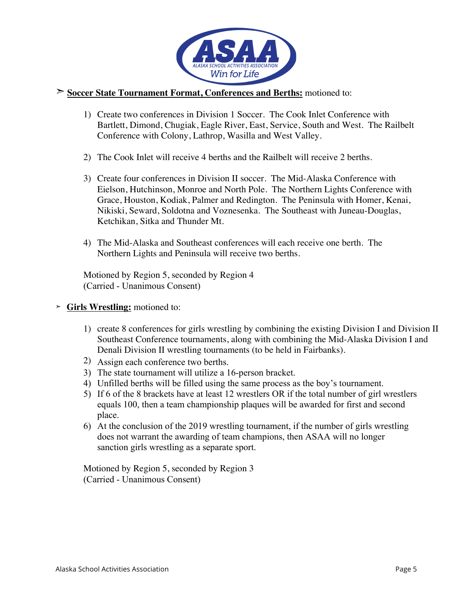

#### ➣ **Soccer State Tournament Format, Conferences and Berths:** motioned to:

- 1) Create two conferences in Division 1 Soccer. The Cook Inlet Conference with Bartlett, Dimond, Chugiak, Eagle River, East, Service, South and West. The Railbelt Conference with Colony, Lathrop, Wasilla and West Valley.
- 2) The Cook Inlet will receive 4 berths and the Railbelt will receive 2 berths.
- 3) Create four conferences in Division II soccer. The Mid-Alaska Conference with Eielson, Hutchinson, Monroe and North Pole. The Northern Lights Conference with Grace, Houston, Kodiak, Palmer and Redington. The Peninsula with Homer, Kenai, Nikiski, Seward, Soldotna and Voznesenka. The Southeast with Juneau-Douglas, Ketchikan, Sitka and Thunder Mt.
- 4) The Mid-Alaska and Southeast conferences will each receive one berth. The Northern Lights and Peninsula will receive two berths.

Motioned by Region 5, seconded by Region 4 (Carried - Unanimous Consent)

- ➣ **Girls Wrestling:** motioned to:
	- 1) create 8 conferences for girls wrestling by combining the existing Division I and Division II Southeast Conference tournaments, along with combining the Mid-Alaska Division I and Denali Division II wrestling tournaments (to be held in Fairbanks).
	- 2) Assign each conference two berths.
	- 3) The state tournament will utilize a 16-person bracket.
	- 4) Unfilled berths will be filled using the same process as the boy's tournament.
	- 5) If 6 of the 8 brackets have at least 12 wrestlers OR if the total number of girl wrestlers equals 100, then a team championship plaques will be awarded for first and second place.
	- 6) At the conclusion of the 2019 wrestling tournament, if the number of girls wrestling does not warrant the awarding of team champions, then ASAA will no longer sanction girls wrestling as a separate sport.

Motioned by Region 5, seconded by Region 3 (Carried - Unanimous Consent)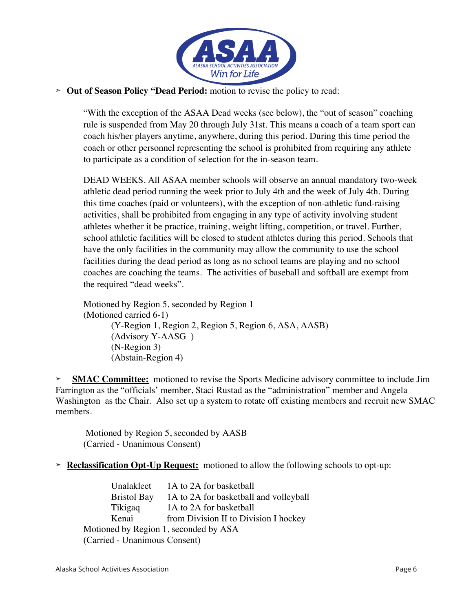

#### ➣ **Out of Season Policy "Dead Period:** motion to revise the policy to read:

"With the exception of the ASAA Dead weeks (see below), the "out of season" coaching rule is suspended from May 20 through July 31st. This means a coach of a team sport can coach his/her players anytime, anywhere, during this period. During this time period the coach or other personnel representing the school is prohibited from requiring any athlete to participate as a condition of selection for the in-season team.

DEAD WEEKS. All ASAA member schools will observe an annual mandatory two-week athletic dead period running the week prior to July 4th and the week of July 4th. During this time coaches (paid or volunteers), with the exception of non-athletic fund-raising activities, shall be prohibited from engaging in any type of activity involving student athletes whether it be practice, training, weight lifting, competition, or travel. Further, school athletic facilities will be closed to student athletes during this period. Schools that have the only facilities in the community may allow the community to use the school facilities during the dead period as long as no school teams are playing and no school coaches are coaching the teams. The activities of baseball and softball are exempt from the required "dead weeks".

Motioned by Region 5, seconded by Region 1 (Motioned carried 6-1) (Y-Region 1, Region 2, Region 5, Region 6, ASA, AASB) (Advisory Y-AASG ) (N-Region 3) (Abstain-Region 4)

➣ **SMAC Committee:** motioned to revise the Sports Medicine advisory committee to include Jim Farrington as the "officials' member, Staci Rustad as the "administration" member and Angela Washington as the Chair. Also set up a system to rotate off existing members and recruit new SMAC members.

Motioned by Region 5, seconded by AASB (Carried - Unanimous Consent)

➣ **Reclassification Opt-Up Request:** motioned to allow the following schools to opt-up:

Unalakleet 1A to 2A for basketball Bristol Bay 1A to 2A for basketball and volleyball Tikigaq 1A to 2A for basketball Kenai from Division II to Division I hockey Motioned by Region 1, seconded by ASA (Carried - Unanimous Consent)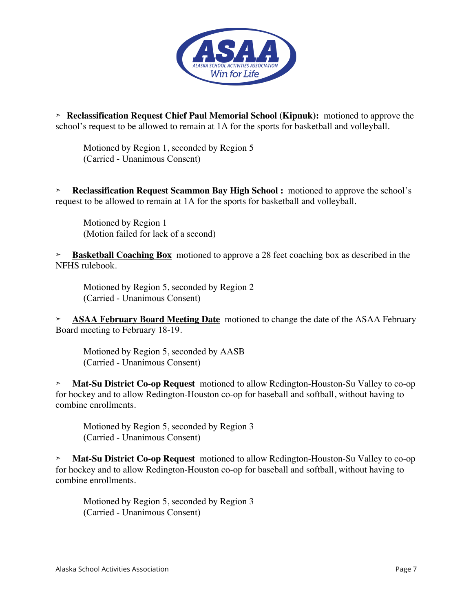

➣ **Reclassification Request Chief Paul Memorial School (Kipnuk):** motioned to approve the school's request to be allowed to remain at 1A for the sports for basketball and volleyball.

Motioned by Region 1, seconded by Region 5 (Carried - Unanimous Consent)

➣ **Reclassification Request Scammon Bay High School :** motioned to approve the school's request to be allowed to remain at 1A for the sports for basketball and volleyball.

Motioned by Region 1 (Motion failed for lack of a second)

➣ **Basketball Coaching Box** motioned to approve a 28 feet coaching box as described in the NFHS rulebook.

Motioned by Region 5, seconded by Region 2 (Carried - Unanimous Consent)

➣ **ASAA February Board Meeting Date** motioned to change the date of the ASAA February Board meeting to February 18-19.

Motioned by Region 5, seconded by AASB (Carried - Unanimous Consent)

➣ **Mat-Su District Co-op Request** motioned to allow Redington-Houston-Su Valley to co-op for hockey and to allow Redington-Houston co-op for baseball and softball, without having to combine enrollments.

Motioned by Region 5, seconded by Region 3 (Carried - Unanimous Consent)

➣ **Mat-Su District Co-op Request** motioned to allow Redington-Houston-Su Valley to co-op for hockey and to allow Redington-Houston co-op for baseball and softball, without having to combine enrollments.

Motioned by Region 5, seconded by Region 3 (Carried - Unanimous Consent)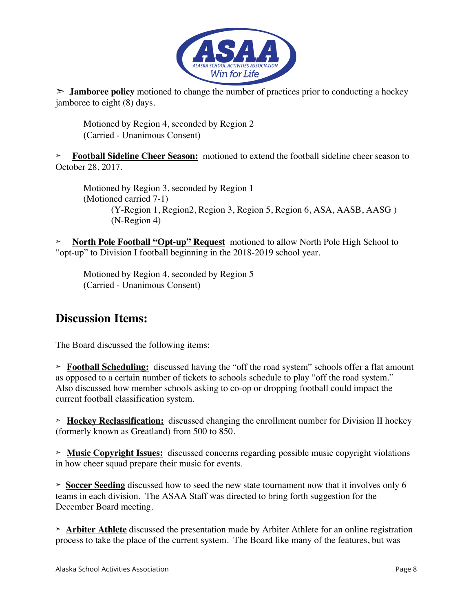

➣ **Jamboree policy** motioned to change the number of practices prior to conducting a hockey jamboree to eight (8) days.

Motioned by Region 4, seconded by Region 2 (Carried - Unanimous Consent)

➣ **Football Sideline Cheer Season:** motioned to extend the football sideline cheer season to October 28, 2017.

Motioned by Region 3, seconded by Region 1 (Motioned carried 7-1) (Y-Region 1, Region2, Region 3, Region 5, Region 6, ASA, AASB, AASG ) (N-Region 4)

➣ **North Pole Football "Opt-up" Request** motioned to allow North Pole High School to "opt-up" to Division I football beginning in the 2018-2019 school year.

Motioned by Region 4, seconded by Region 5 (Carried - Unanimous Consent)

## **Discussion Items:**

The Board discussed the following items:

➣ **Football Scheduling:** discussed having the "off the road system" schools offer a flat amount as opposed to a certain number of tickets to schools schedule to play "off the road system." Also discussed how member schools asking to co-op or dropping football could impact the current football classification system.

➣ **Hockey Reclassification:** discussed changing the enrollment number for Division II hockey (formerly known as Greatland) from 500 to 850.

➣ **Music Copyright Issues:** discussed concerns regarding possible music copyright violations in how cheer squad prepare their music for events.

➣ **Soccer Seeding** discussed how to seed the new state tournament now that it involves only 6 teams in each division. The ASAA Staff was directed to bring forth suggestion for the December Board meeting.

➣ **Arbiter Athlete** discussed the presentation made by Arbiter Athlete for an online registration process to take the place of the current system. The Board like many of the features, but was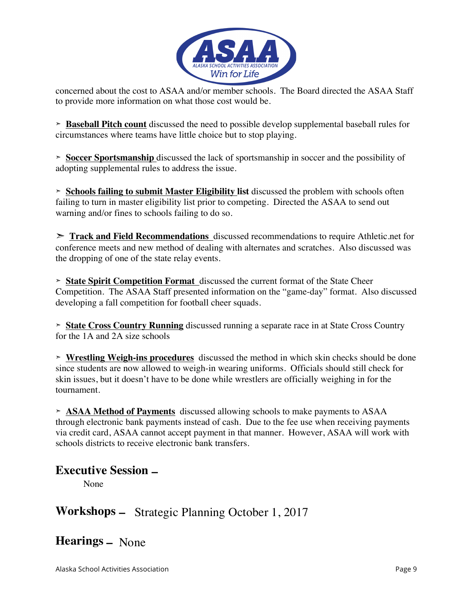

concerned about the cost to ASAA and/or member schools. The Board directed the ASAA Staff to provide more information on what those cost would be.

➣ **Baseball Pitch count** discussed the need to possible develop supplemental baseball rules for circumstances where teams have little choice but to stop playing.

➣ **Soccer Sportsmanship** discussed the lack of sportsmanship in soccer and the possibility of adopting supplemental rules to address the issue.

➣ **Schools failing to submit Master Eligibility list** discussed the problem with schools often failing to turn in master eligibility list prior to competing. Directed the ASAA to send out warning and/or fines to schools failing to do so.

➣ **Track and Field Recommendations** discussed recommendations to require Athletic.net for conference meets and new method of dealing with alternates and scratches. Also discussed was the dropping of one of the state relay events.

➣ **State Spirit Competition Format** discussed the current format of the State Cheer Competition. The ASAA Staff presented information on the "game-day" format. Also discussed developing a fall competition for football cheer squads.

➣ **State Cross Country Running** discussed running a separate race in at State Cross Country for the 1A and 2A size schools

➣ **Wrestling Weigh-ins procedures** discussed the method in which skin checks should be done since students are now allowed to weigh-in wearing uniforms. Officials should still check for skin issues, but it doesn't have to be done while wrestlers are officially weighing in for the tournament.

➣ **ASAA Method of Payments** discussed allowing schools to make payments to ASAA through electronic bank payments instead of cash. Due to the fee use when receiving payments via credit card, ASAA cannot accept payment in that manner. However, ASAA will work with schools districts to receive electronic bank transfers.

## **Executive Session –**

None

# **Workshops –** Strategic Planning October 1, 2017

# **Hearings –** None

Alaska School Activities Association Page 9